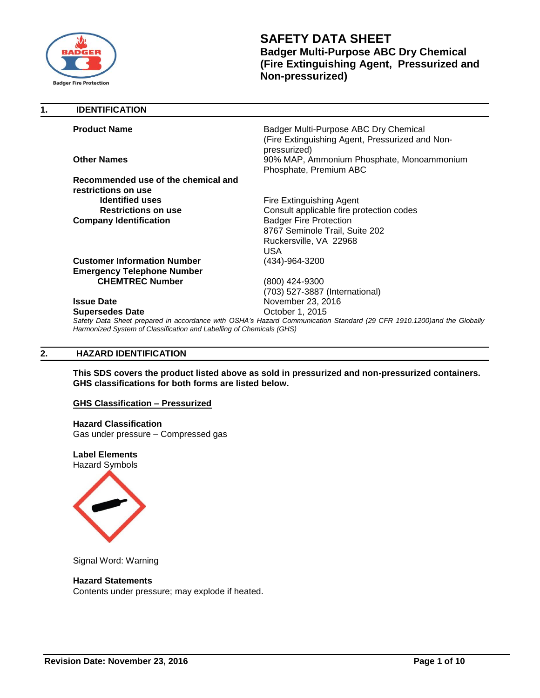

| 1. | <b>IDENTIFICATION</b>                                                |                                                                                                                       |
|----|----------------------------------------------------------------------|-----------------------------------------------------------------------------------------------------------------------|
|    | <b>Product Name</b>                                                  | Badger Multi-Purpose ABC Dry Chemical<br>(Fire Extinguishing Agent, Pressurized and Non-<br>pressurized)              |
|    | <b>Other Names</b>                                                   | 90% MAP, Ammonium Phosphate, Monoammonium<br>Phosphate, Premium ABC                                                   |
|    | Recommended use of the chemical and                                  |                                                                                                                       |
|    | restrictions on use                                                  |                                                                                                                       |
|    | <b>Identified uses</b>                                               | Fire Extinguishing Agent                                                                                              |
|    | <b>Restrictions on use</b>                                           | Consult applicable fire protection codes                                                                              |
|    | <b>Company Identification</b>                                        | <b>Badger Fire Protection</b>                                                                                         |
|    |                                                                      | 8767 Seminole Trail, Suite 202                                                                                        |
|    |                                                                      | Ruckersville, VA 22968                                                                                                |
|    |                                                                      | <b>USA</b>                                                                                                            |
|    | <b>Customer Information Number</b>                                   | (434)-964-3200                                                                                                        |
|    | <b>Emergency Telephone Number</b>                                    |                                                                                                                       |
|    | <b>CHEMTREC Number</b>                                               | (800) 424-9300                                                                                                        |
|    |                                                                      | (703) 527-3887 (International)                                                                                        |
|    | <b>Issue Date</b>                                                    | November 23, 2016                                                                                                     |
|    | <b>Supersedes Date</b>                                               | October 1, 2015                                                                                                       |
|    | Harmonized System of Classification and Labelling of Chemicals (GHS) | Safety Data Sheet prepared in accordance with OSHA's Hazard Communication Standard (29 CFR 1910.1200)and the Globally |

# **2. HAZARD IDENTIFICATION**

**This SDS covers the product listed above as sold in pressurized and non-pressurized containers. GHS classifications for both forms are listed below.**

### **GHS Classification – Pressurized**

#### **Hazard Classification**

Gas under pressure – Compressed gas

**Label Elements** Hazard Symbols



Signal Word: Warning

# **Hazard Statements**

Contents under pressure; may explode if heated.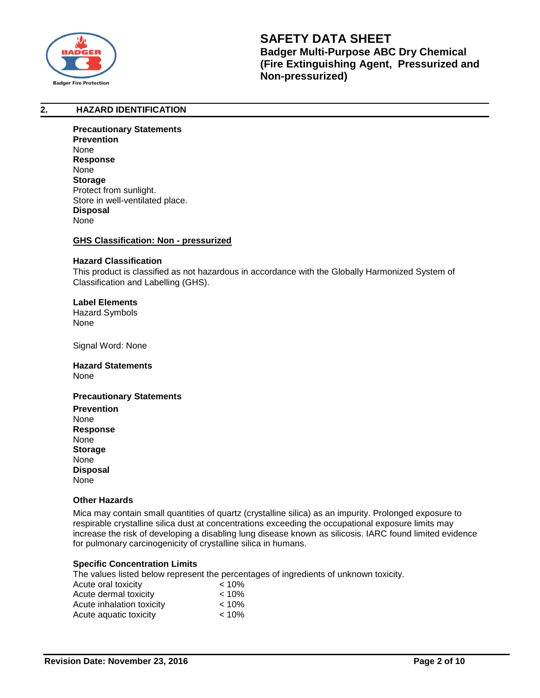

# **2. HAZARD IDENTIFICATION**

**Precautionary Statements Prevention** None **Response** None **Storage** Protect from sunlight. Store in well-ventilated place. **Disposal** None

#### **GHS Classification: Non - pressurized**

#### **Hazard Classification**

This product is classified as not hazardous in accordance with the Globally Harmonized System of Classification and Labelling (GHS).

# **Label Elements**

Hazard Symbols None

Signal Word: None

#### **Hazard Statements**  None

# **Precautionary Statements**

**Prevention** None **Response** None **Storage** None **Disposal** None

# **Other Hazards**

Mica may contain small quantities of quartz (crystalline silica) as an impurity. Prolonged exposure to respirable crystalline silica dust at concentrations exceeding the occupational exposure limits may increase the risk of developing a disabling lung disease known as silicosis. IARC found limited evidence for pulmonary carcinogenicity of crystalline silica in humans.

# **Specific Concentration Limits**

The values listed below represent the percentages of ingredients of unknown toxicity.

| Acute oral toxicity       | $< 10\%$ |
|---------------------------|----------|
| Acute dermal toxicity     | $< 10\%$ |
| Acute inhalation toxicity | $< 10\%$ |
| Acute aquatic toxicity    | $< 10\%$ |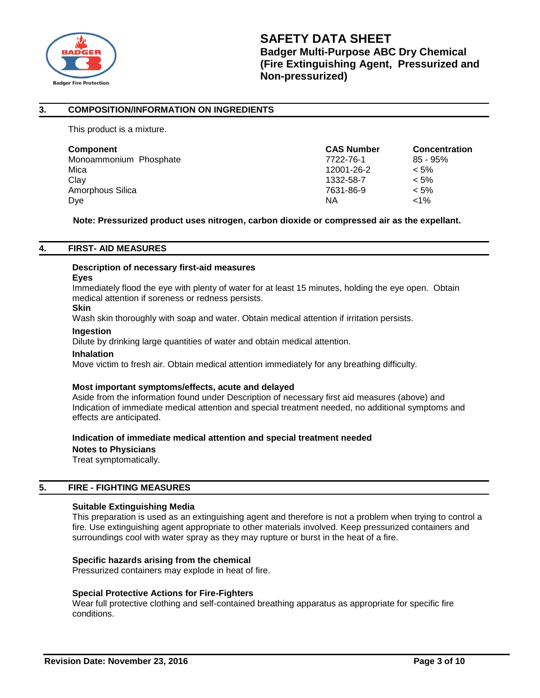

# **3. COMPOSITION/INFORMATION ON INGREDIENTS**

This product is a mixture.

| <b>Component</b>       | <b>CAS Number</b> | <b>Concentration</b> |
|------------------------|-------------------|----------------------|
| Monoammonium Phosphate | 7722-76-1         | $85 - 95\%$          |
| Mica                   | 12001-26-2        | $< 5\%$              |
| Clav                   | 1332-58-7         | $< 5\%$              |
| Amorphous Silica       | 7631-86-9         | $< 5\%$              |
| Dye                    | ΝA                | $< 1\%$              |

**Note: Pressurized product uses nitrogen, carbon dioxide or compressed air as the expellant.**

# **4. FIRST- AID MEASURES**

# **Description of necessary first-aid measures**

#### **Eyes**

Immediately flood the eye with plenty of water for at least 15 minutes, holding the eye open. Obtain medical attention if soreness or redness persists.

# **Skin**

Wash skin thoroughly with soap and water. Obtain medical attention if irritation persists.

#### **Ingestion**

Dilute by drinking large quantities of water and obtain medical attention.

#### **Inhalation**

Move victim to fresh air. Obtain medical attention immediately for any breathing difficulty.

# **Most important symptoms/effects, acute and delayed**

Aside from the information found under Description of necessary first aid measures (above) and Indication of immediate medical attention and special treatment needed, no additional symptoms and effects are anticipated.

#### **Indication of immediate medical attention and special treatment needed**

**Notes to Physicians**

Treat symptomatically.

# **5. FIRE - FIGHTING MEASURES**

# **Suitable Extinguishing Media**

This preparation is used as an extinguishing agent and therefore is not a problem when trying to control a fire. Use extinguishing agent appropriate to other materials involved. Keep pressurized containers and surroundings cool with water spray as they may rupture or burst in the heat of a fire.

# **Specific hazards arising from the chemical**

Pressurized containers may explode in heat of fire.

# **Special Protective Actions for Fire-Fighters**

Wear full protective clothing and self-contained breathing apparatus as appropriate for specific fire conditions.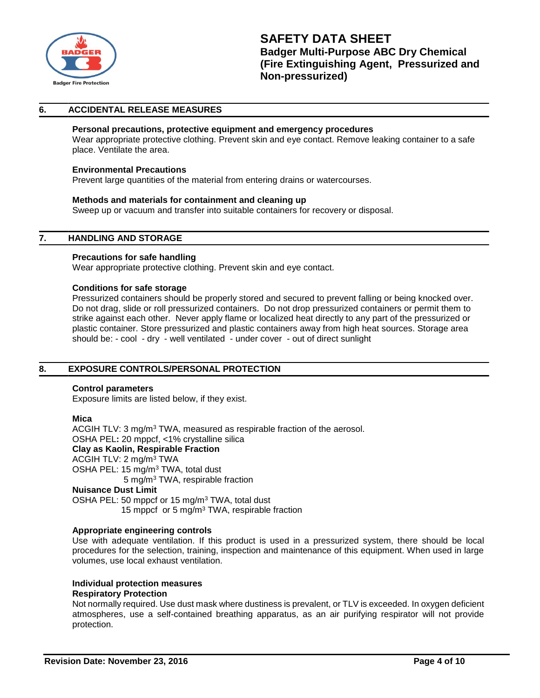

# **6. ACCIDENTAL RELEASE MEASURES**

# **Personal precautions, protective equipment and emergency procedures**

Wear appropriate protective clothing. Prevent skin and eye contact. Remove leaking container to a safe place. Ventilate the area.

#### **Environmental Precautions**

Prevent large quantities of the material from entering drains or watercourses.

#### **Methods and materials for containment and cleaning up**

Sweep up or vacuum and transfer into suitable containers for recovery or disposal.

# **7. HANDLING AND STORAGE**

#### **Precautions for safe handling**

Wear appropriate protective clothing. Prevent skin and eye contact.

#### **Conditions for safe storage**

Pressurized containers should be properly stored and secured to prevent falling or being knocked over. Do not drag, slide or roll pressurized containers. Do not drop pressurized containers or permit them to strike against each other. Never apply flame or localized heat directly to any part of the pressurized or plastic container. Store pressurized and plastic containers away from high heat sources. Storage area should be: - cool - dry - well ventilated - under cover - out of direct sunlight

# **8. EXPOSURE CONTROLS/PERSONAL PROTECTION**

#### **Control parameters**

Exposure limits are listed below, if they exist.

#### **Mica**

ACGIH TLV: 3 mg/m<sup>3</sup> TWA, measured as respirable fraction of the aerosol. OSHA PEL**:** 20 mppcf, <1% crystalline silica **Clay as Kaolin, Respirable Fraction** ACGIH TLV: 2 mg/m<sup>3</sup> TWA OSHA PEL: 15 mg/m<sup>3</sup> TWA, total dust 5 mg/m<sup>3</sup> TWA, respirable fraction **Nuisance Dust Limit**

OSHA PEL: 50 mppcf or 15 mg/m<sup>3</sup> TWA, total dust 15 mppcf or 5 mg/m<sup>3</sup> TWA, respirable fraction

# **Appropriate engineering controls**

Use with adequate ventilation. If this product is used in a pressurized system, there should be local procedures for the selection, training, inspection and maintenance of this equipment. When used in large volumes, use local exhaust ventilation.

# **Individual protection measures**

# **Respiratory Protection**

Not normally required. Use dust mask where dustiness is prevalent, or TLV is exceeded. In oxygen deficient atmospheres, use a self-contained breathing apparatus, as an air purifying respirator will not provide protection.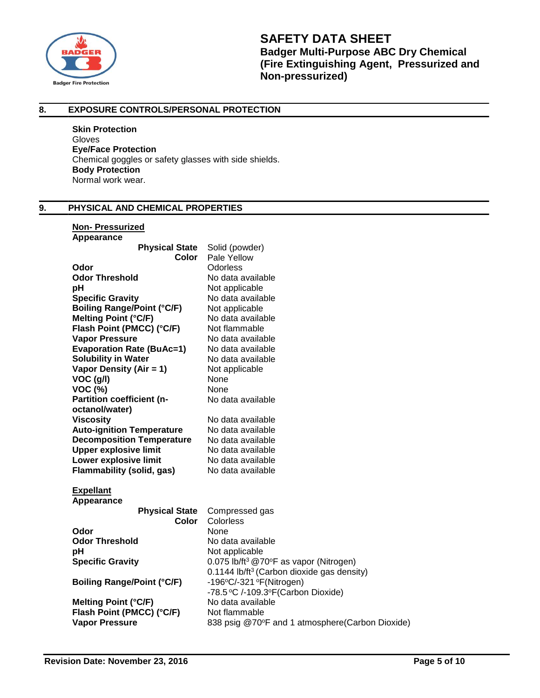

# **8. EXPOSURE CONTROLS/PERSONAL PROTECTION**

**Skin Protection** Gloves **Eye/Face Protection** Chemical goggles or safety glasses with side shields. **Body Protection** Normal work wear.

# **9. PHYSICAL AND CHEMICAL PROPERTIES**

# **Non- Pressurized**

| Appearance                        |                                                        |
|-----------------------------------|--------------------------------------------------------|
| <b>Physical State</b>             | Solid (powder)                                         |
| Color                             | Pale Yellow                                            |
| Odor                              | Odorless                                               |
| <b>Odor Threshold</b>             | No data available                                      |
| рH                                | Not applicable                                         |
| <b>Specific Gravity</b>           | No data available                                      |
| <b>Boiling Range/Point (°C/F)</b> | Not applicable                                         |
| <b>Melting Point (°C/F)</b>       | No data available                                      |
| Flash Point (PMCC) (°C/F)         | Not flammable                                          |
| <b>Vapor Pressure</b>             | No data available                                      |
| <b>Evaporation Rate (BuAc=1)</b>  | No data available                                      |
| <b>Solubility in Water</b>        | No data available                                      |
| Vapor Density (Air = $1$ )        | Not applicable                                         |
| VOC (g/l)                         | None                                                   |
| <b>VOC (%)</b>                    | None                                                   |
| Partition coefficient (n-         | No data available                                      |
| octanol/water)                    |                                                        |
| <b>Viscosity</b>                  | No data available                                      |
| <b>Auto-ignition Temperature</b>  | No data available                                      |
| <b>Decomposition Temperature</b>  | No data available                                      |
| <b>Upper explosive limit</b>      | No data available                                      |
| Lower explosive limit             | No data available                                      |
| <b>Flammability (solid, gas)</b>  | No data available                                      |
| <b>Expellant</b>                  |                                                        |
| Appearance                        |                                                        |
| <b>Physical State</b>             | Compressed gas                                         |
| Color                             | Colorless                                              |
| Odor                              | None                                                   |
| <b>Odor Threshold</b>             | No data available                                      |
| рH                                | Not applicable                                         |
| <b>Specific Gravity</b>           | 0.075 lb/ft <sup>3</sup> @70°F as vapor (Nitrogen)     |
|                                   | 0.1144 lb/ft <sup>3</sup> (Carbon dioxide gas density) |
| <b>Boiling Range/Point (°C/F)</b> | -196°C/-321 °F(Nitrogen)                               |
|                                   | -78.5 °C /-109.3°F (Carbon Dioxide)                    |
| <b>Melting Point (°C/F)</b>       | No data available                                      |
| Flash Point (PMCC) (°C/F)         | Not flammable                                          |
| <b>Vapor Pressure</b>             | 838 psig @70°F and 1 atmosphere(Carbon Dioxide)        |
|                                   |                                                        |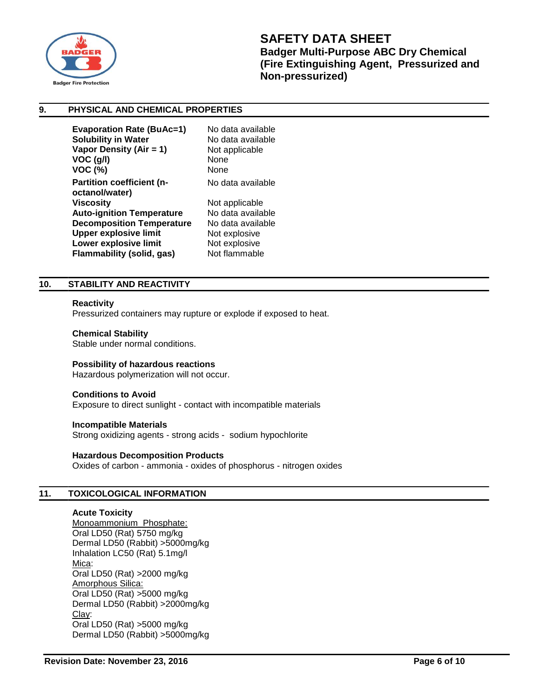

# **9. PHYSICAL AND CHEMICAL PROPERTIES**

| No data available |
|-------------------|
| No data available |
| Not applicable    |
| None              |
| None              |
| No data available |
|                   |
| Not applicable    |
| No data available |
| No data available |
| Not explosive     |
| Not explosive     |
| Not flammable     |
|                   |

# **10. STABILITY AND REACTIVITY**

#### **Reactivity**

Pressurized containers may rupture or explode if exposed to heat.

#### **Chemical Stability**

Stable under normal conditions.

# **Possibility of hazardous reactions**

Hazardous polymerization will not occur.

#### **Conditions to Avoid**

Exposure to direct sunlight - contact with incompatible materials

**Incompatible Materials** Strong oxidizing agents - strong acids - sodium hypochlorite

#### **Hazardous Decomposition Products**

Oxides of carbon - ammonia - oxides of phosphorus - nitrogen oxides

# **11. TOXICOLOGICAL INFORMATION**

#### **Acute Toxicity**

Monoammonium Phosphate: Oral LD50 (Rat) 5750 mg/kg Dermal LD50 (Rabbit) >5000mg/kg Inhalation LC50 (Rat) 5.1mg/l Mica: Oral LD50 (Rat) >2000 mg/kg Amorphous Silica: Oral LD50 (Rat) >5000 mg/kg Dermal LD50 (Rabbit) >2000mg/kg Clay: Oral LD50 (Rat) >5000 mg/kg Dermal LD50 (Rabbit) >5000mg/kg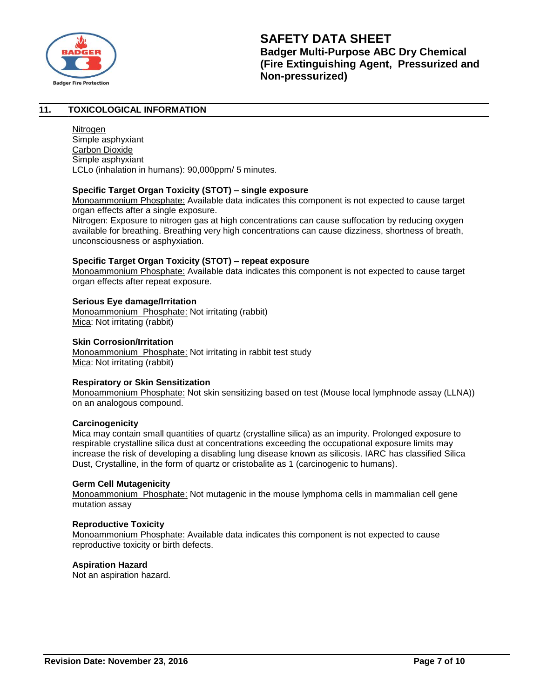

# **11. TOXICOLOGICAL INFORMATION**

**Nitrogen** Simple asphyxiant Carbon Dioxide Simple asphyxiant LCLo (inhalation in humans): 90,000ppm/ 5 minutes.

# **Specific Target Organ Toxicity (STOT) – single exposure**

Monoammonium Phosphate: Available data indicates this component is not expected to cause target organ effects after a single exposure.

Nitrogen: Exposure to nitrogen gas at high concentrations can cause suffocation by reducing oxygen available for breathing. Breathing very high concentrations can cause dizziness, shortness of breath, unconsciousness or asphyxiation.

# **Specific Target Organ Toxicity (STOT) – repeat exposure**

Monoammonium Phosphate: Available data indicates this component is not expected to cause target organ effects after repeat exposure.

# **Serious Eye damage/Irritation**

Monoammonium Phosphate: Not irritating (rabbit) Mica: Not irritating (rabbit)

# **Skin Corrosion/Irritation**

Monoammonium Phosphate: Not irritating in rabbit test study Mica: Not irritating (rabbit)

# **Respiratory or Skin Sensitization**

Monoammonium Phosphate: Not skin sensitizing based on test (Mouse local lymphnode assay (LLNA)) on an analogous compound.

# **Carcinogenicity**

Mica may contain small quantities of quartz (crystalline silica) as an impurity. Prolonged exposure to respirable crystalline silica dust at concentrations exceeding the occupational exposure limits may increase the risk of developing a disabling lung disease known as silicosis. IARC has classified Silica Dust, Crystalline, in the form of quartz or cristobalite as 1 (carcinogenic to humans).

# **Germ Cell Mutagenicity**

Monoammonium Phosphate: Not mutagenic in the mouse lymphoma cells in mammalian cell gene mutation assay

# **Reproductive Toxicity**

Monoammonium Phosphate: Available data indicates this component is not expected to cause reproductive toxicity or birth defects.

# **Aspiration Hazard**

Not an aspiration hazard.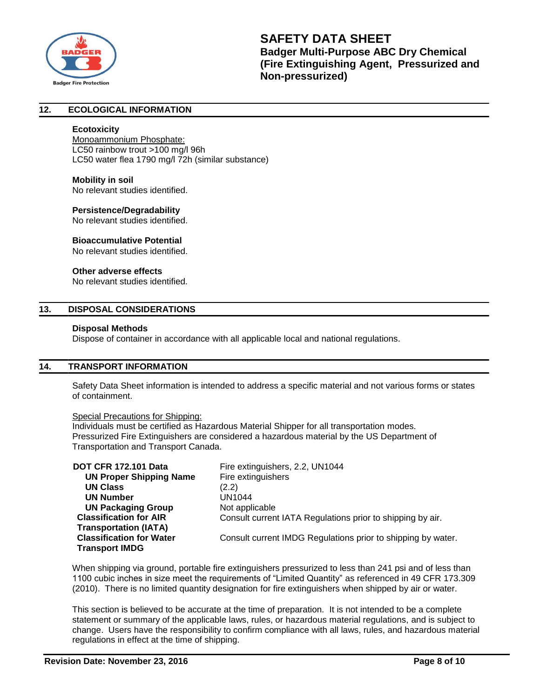

# **12. ECOLOGICAL INFORMATION**

### **Ecotoxicity**

Monoammonium Phosphate: LC50 rainbow trout >100 mg/l 96h LC50 water flea 1790 mg/l 72h (similar substance)

#### **Mobility in soil**

No relevant studies identified.

#### **Persistence/Degradability**

No relevant studies identified.

#### **Bioaccumulative Potential**

No relevant studies identified.

# **Other adverse effects**

No relevant studies identified.

# **13. DISPOSAL CONSIDERATIONS**

### **Disposal Methods**

Dispose of container in accordance with all applicable local and national regulations.

# **14. TRANSPORT INFORMATION**

Safety Data Sheet information is intended to address a specific material and not various forms or states of containment.

#### Special Precautions for Shipping:

Individuals must be certified as Hazardous Material Shipper for all transportation modes. Pressurized Fire Extinguishers are considered a hazardous material by the US Department of Transportation and Transport Canada.

| <b>DOT CFR 172.101 Data</b>     | Fire extinguishers, 2.2, UN1044                              |
|---------------------------------|--------------------------------------------------------------|
| <b>UN Proper Shipping Name</b>  | Fire extinguishers                                           |
| <b>UN Class</b>                 | (2.2)                                                        |
| <b>UN Number</b>                | UN1044                                                       |
| <b>UN Packaging Group</b>       | Not applicable                                               |
| <b>Classification for AIR</b>   | Consult current IATA Regulations prior to shipping by air.   |
| <b>Transportation (IATA)</b>    |                                                              |
| <b>Classification for Water</b> | Consult current IMDG Regulations prior to shipping by water. |
| <b>Transport IMDG</b>           |                                                              |

When shipping via ground, portable fire extinguishers pressurized to less than 241 psi and of less than 1100 cubic inches in size meet the requirements of "Limited Quantity" as referenced in 49 CFR 173.309 (2010). There is no limited quantity designation for fire extinguishers when shipped by air or water.

This section is believed to be accurate at the time of preparation. It is not intended to be a complete statement or summary of the applicable laws, rules, or hazardous material regulations, and is subject to change. Users have the responsibility to confirm compliance with all laws, rules, and hazardous material regulations in effect at the time of shipping.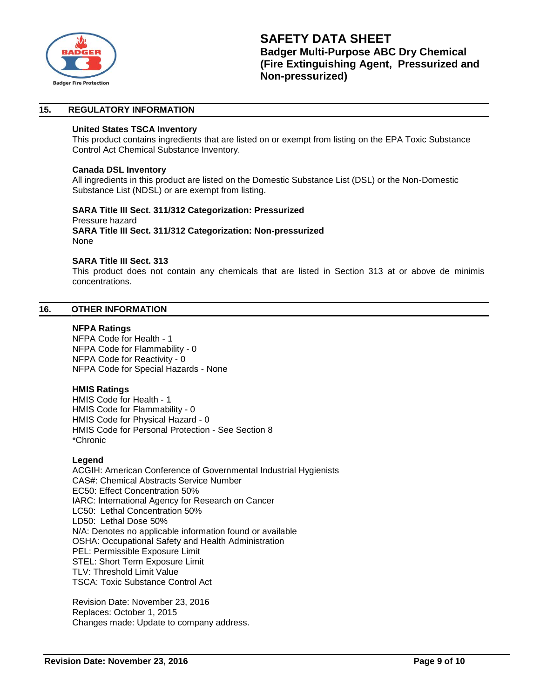

# **15. REGULATORY INFORMATION**

# **United States TSCA Inventory**

This product contains ingredients that are listed on or exempt from listing on the EPA Toxic Substance Control Act Chemical Substance Inventory.

### **Canada DSL Inventory**

All ingredients in this product are listed on the Domestic Substance List (DSL) or the Non-Domestic Substance List (NDSL) or are exempt from listing.

#### **SARA Title III Sect. 311/312 Categorization: Pressurized**  Pressure hazard

**SARA Title III Sect. 311/312 Categorization: Non-pressurized** None

# **SARA Title III Sect. 313**

This product does not contain any chemicals that are listed in Section 313 at or above de minimis concentrations.

#### **16. OTHER INFORMATION**

#### **NFPA Ratings**

NFPA Code for Health - 1 NFPA Code for Flammability - 0 NFPA Code for Reactivity - 0 NFPA Code for Special Hazards - None

# **HMIS Ratings**

HMIS Code for Health - 1 HMIS Code for Flammability - 0 HMIS Code for Physical Hazard - 0 HMIS Code for Personal Protection - See Section 8 \*Chronic

# **Legend**

ACGIH: American Conference of Governmental Industrial Hygienists CAS#: Chemical Abstracts Service Number EC50: Effect Concentration 50% IARC: International Agency for Research on Cancer LC50: Lethal Concentration 50% LD50: Lethal Dose 50% N/A: Denotes no applicable information found or available OSHA: Occupational Safety and Health Administration PEL: Permissible Exposure Limit STEL: Short Term Exposure Limit TLV: Threshold Limit Value TSCA: Toxic Substance Control Act

Revision Date: November 23, 2016 Replaces: October 1, 2015 Changes made: Update to company address.